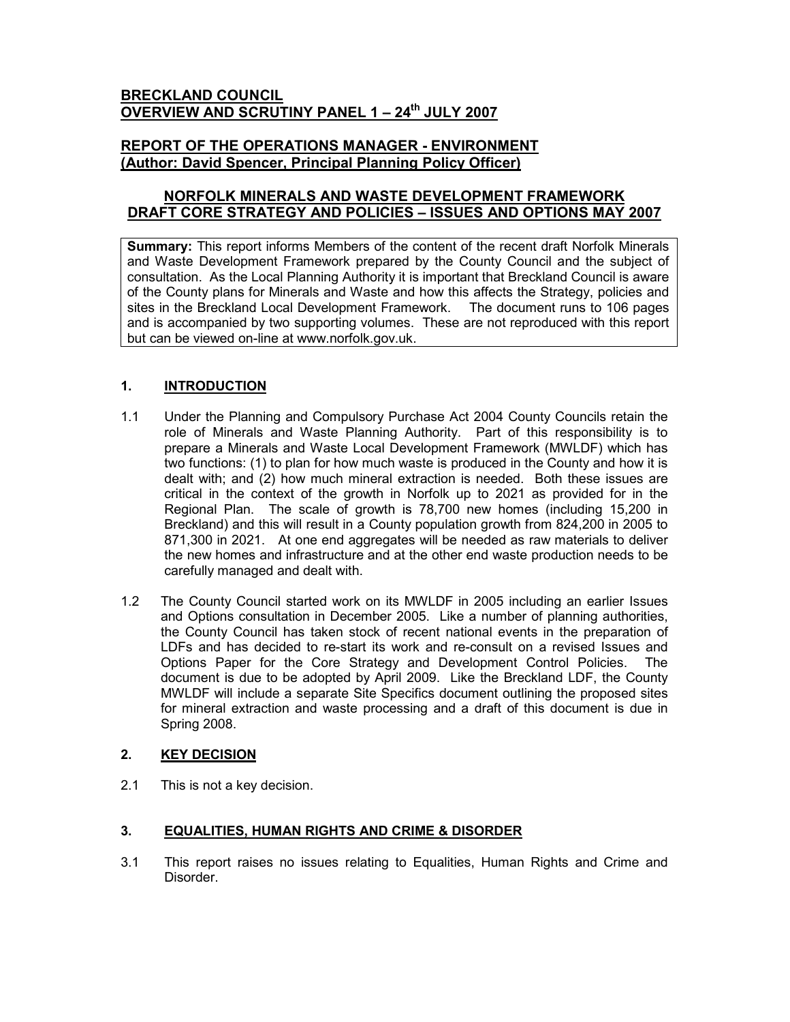## BRECKLAND COUNCIL OVERVIEW AND SCRUTINY PANEL 1 - 24<sup>th</sup> JULY 2007

## REPORT OF THE OPERATIONS MANAGER - ENVIRONMENT (Author: David Spencer, Principal Planning Policy Officer)

# NORFOLK MINERALS AND WASTE DEVELOPMENT FRAMEWORK DRAFT CORE STRATEGY AND POLICIES – ISSUES AND OPTIONS MAY 2007

Summary: This report informs Members of the content of the recent draft Norfolk Minerals and Waste Development Framework prepared by the County Council and the subject of consultation. As the Local Planning Authority it is important that Breckland Council is aware of the County plans for Minerals and Waste and how this affects the Strategy, policies and sites in the Breckland Local Development Framework. The document runs to 106 pages and is accompanied by two supporting volumes. These are not reproduced with this report but can be viewed on-line at www.norfolk.gov.uk.

# 1. **INTRODUCTION**

- 1.1 Under the Planning and Compulsory Purchase Act 2004 County Councils retain the role of Minerals and Waste Planning Authority. Part of this responsibility is to prepare a Minerals and Waste Local Development Framework (MWLDF) which has two functions: (1) to plan for how much waste is produced in the County and how it is dealt with; and (2) how much mineral extraction is needed. Both these issues are critical in the context of the growth in Norfolk up to 2021 as provided for in the Regional Plan. The scale of growth is 78,700 new homes (including 15,200 in Breckland) and this will result in a County population growth from 824,200 in 2005 to 871,300 in 2021. At one end aggregates will be needed as raw materials to deliver the new homes and infrastructure and at the other end waste production needs to be carefully managed and dealt with.
- 1.2 The County Council started work on its MWLDF in 2005 including an earlier Issues and Options consultation in December 2005. Like a number of planning authorities, the County Council has taken stock of recent national events in the preparation of LDFs and has decided to re-start its work and re-consult on a revised Issues and Options Paper for the Core Strategy and Development Control Policies. The document is due to be adopted by April 2009. Like the Breckland LDF, the County MWLDF will include a separate Site Specifics document outlining the proposed sites for mineral extraction and waste processing and a draft of this document is due in Spring 2008.

## 2. KEY DECISION

2.1 This is not a key decision.

## 3. EQUALITIES, HUMAN RIGHTS AND CRIME & DISORDER

3.1 This report raises no issues relating to Equalities, Human Rights and Crime and Disorder.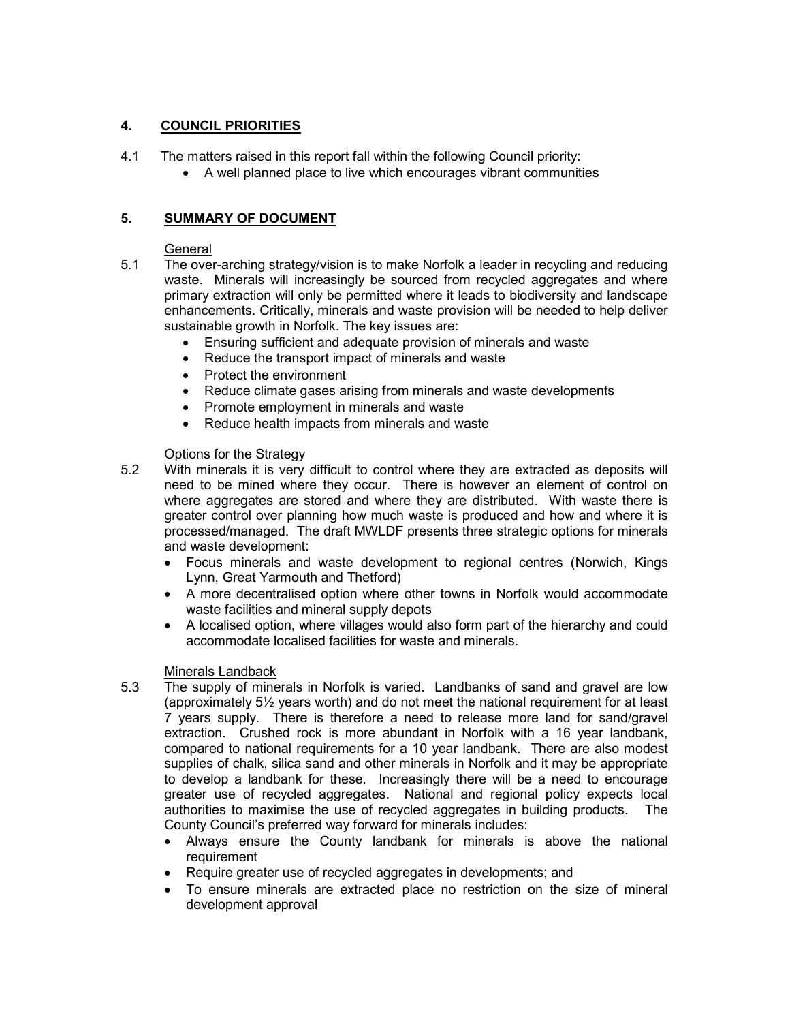## 4. COUNCIL PRIORITIES

- 4.1 The matters raised in this report fall within the following Council priority:
	- A well planned place to live which encourages vibrant communities

## 5. SUMMARY OF DOCUMENT

#### General

- 5.1 The over-arching strategy/vision is to make Norfolk a leader in recycling and reducing waste. Minerals will increasingly be sourced from recycled aggregates and where primary extraction will only be permitted where it leads to biodiversity and landscape enhancements. Critically, minerals and waste provision will be needed to help deliver sustainable growth in Norfolk. The key issues are:
	- Ensuring sufficient and adequate provision of minerals and waste
	- Reduce the transport impact of minerals and waste
	- Protect the environment
	- Reduce climate gases arising from minerals and waste developments
	- Promote employment in minerals and waste
	- Reduce health impacts from minerals and waste

## Options for the Strategy

- 5.2 With minerals it is very difficult to control where they are extracted as deposits will need to be mined where they occur. There is however an element of control on where aggregates are stored and where they are distributed. With waste there is greater control over planning how much waste is produced and how and where it is processed/managed. The draft MWLDF presents three strategic options for minerals and waste development:
	- Focus minerals and waste development to regional centres (Norwich, Kings Lynn, Great Yarmouth and Thetford)
	- A more decentralised option where other towns in Norfolk would accommodate waste facilities and mineral supply depots
	- A localised option, where villages would also form part of the hierarchy and could accommodate localised facilities for waste and minerals.

#### Minerals Landback

- 5.3 The supply of minerals in Norfolk is varied. Landbanks of sand and gravel are low (approximately 5½ years worth) and do not meet the national requirement for at least 7 years supply. There is therefore a need to release more land for sand/gravel extraction. Crushed rock is more abundant in Norfolk with a 16 year landbank, compared to national requirements for a 10 year landbank. There are also modest supplies of chalk, silica sand and other minerals in Norfolk and it may be appropriate to develop a landbank for these. Increasingly there will be a need to encourage greater use of recycled aggregates. National and regional policy expects local authorities to maximise the use of recycled aggregates in building products. The County Council's preferred way forward for minerals includes:
	- Always ensure the County landbank for minerals is above the national requirement
	- Require greater use of recycled aggregates in developments; and
	- To ensure minerals are extracted place no restriction on the size of mineral development approval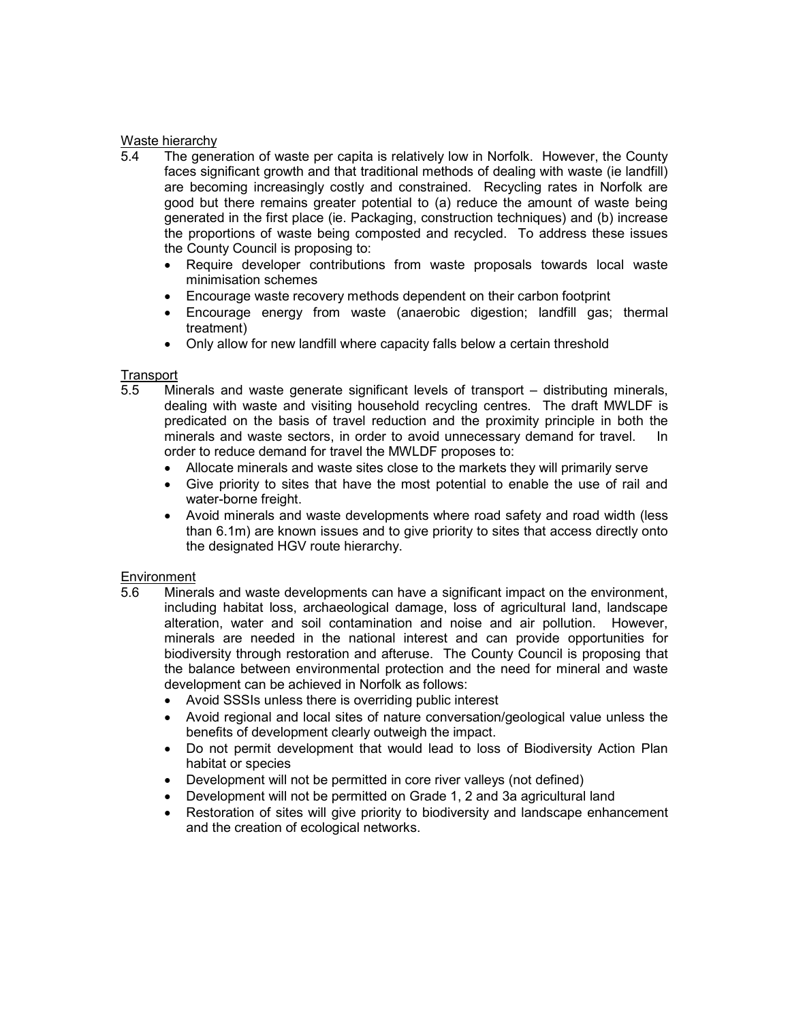#### Waste hierarchy

- 5.4 The generation of waste per capita is relatively low in Norfolk. However, the County faces significant growth and that traditional methods of dealing with waste (ie landfill) are becoming increasingly costly and constrained. Recycling rates in Norfolk are good but there remains greater potential to (a) reduce the amount of waste being generated in the first place (ie. Packaging, construction techniques) and (b) increase the proportions of waste being composted and recycled. To address these issues the County Council is proposing to:
	- Require developer contributions from waste proposals towards local waste minimisation schemes
	- Encourage waste recovery methods dependent on their carbon footprint
	- Encourage energy from waste (anaerobic digestion; landfill gas; thermal treatment)
	- Only allow for new landfill where capacity falls below a certain threshold

# Transport<br>5.5 Mi

- Minerals and waste generate significant levels of transport distributing minerals, dealing with waste and visiting household recycling centres. The draft MWLDF is predicated on the basis of travel reduction and the proximity principle in both the minerals and waste sectors, in order to avoid unnecessary demand for travel. In order to reduce demand for travel the MWLDF proposes to:
	- Allocate minerals and waste sites close to the markets they will primarily serve
	- Give priority to sites that have the most potential to enable the use of rail and water-borne freight.
	- Avoid minerals and waste developments where road safety and road width (less than 6.1m) are known issues and to give priority to sites that access directly onto the designated HGV route hierarchy.

#### **Environment**

- 5.6 Minerals and waste developments can have a significant impact on the environment, including habitat loss, archaeological damage, loss of agricultural land, landscape alteration, water and soil contamination and noise and air pollution. However, minerals are needed in the national interest and can provide opportunities for biodiversity through restoration and afteruse. The County Council is proposing that the balance between environmental protection and the need for mineral and waste development can be achieved in Norfolk as follows:
	- Avoid SSSIs unless there is overriding public interest
	- Avoid regional and local sites of nature conversation/geological value unless the benefits of development clearly outweigh the impact.
	- Do not permit development that would lead to loss of Biodiversity Action Plan habitat or species
	- Development will not be permitted in core river valleys (not defined)
	- Development will not be permitted on Grade 1, 2 and 3a agricultural land
	- Restoration of sites will give priority to biodiversity and landscape enhancement and the creation of ecological networks.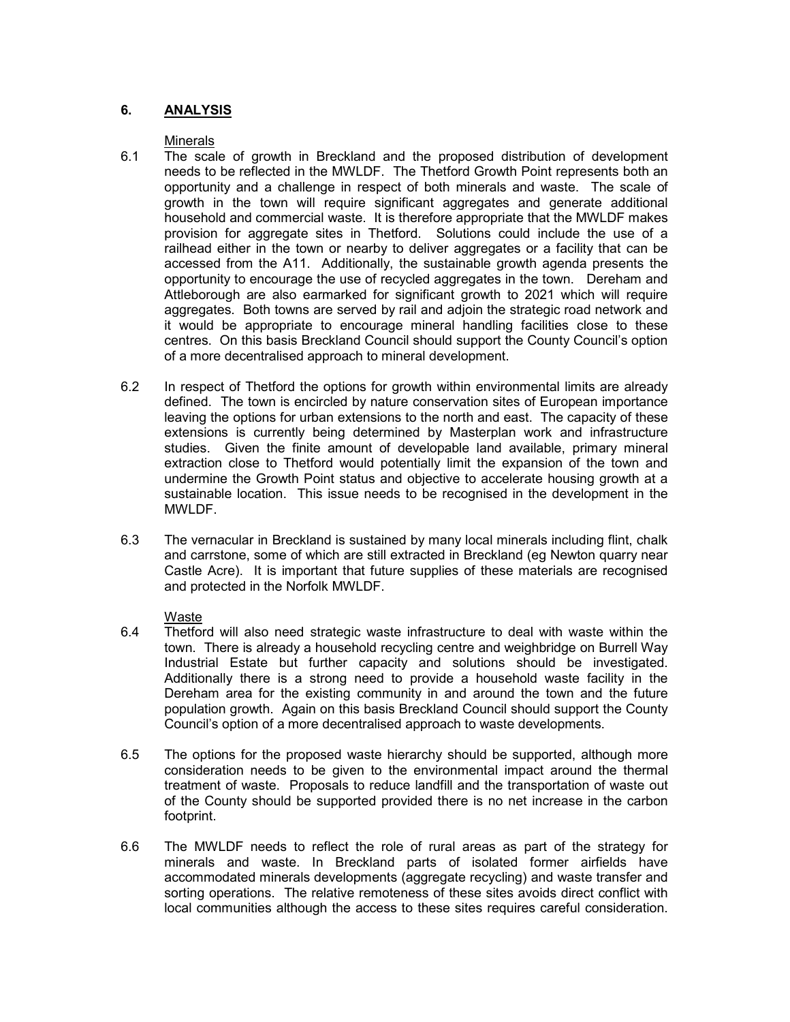## 6. ANALYSIS

#### Minerals

- 6.1 The scale of growth in Breckland and the proposed distribution of development needs to be reflected in the MWLDF. The Thetford Growth Point represents both an opportunity and a challenge in respect of both minerals and waste. The scale of growth in the town will require significant aggregates and generate additional household and commercial waste. It is therefore appropriate that the MWLDF makes provision for aggregate sites in Thetford. Solutions could include the use of a railhead either in the town or nearby to deliver aggregates or a facility that can be accessed from the A11. Additionally, the sustainable growth agenda presents the opportunity to encourage the use of recycled aggregates in the town. Dereham and Attleborough are also earmarked for significant growth to 2021 which will require aggregates. Both towns are served by rail and adjoin the strategic road network and it would be appropriate to encourage mineral handling facilities close to these centres. On this basis Breckland Council should support the County Council's option of a more decentralised approach to mineral development.
- 6.2 In respect of Thetford the options for growth within environmental limits are already defined. The town is encircled by nature conservation sites of European importance leaving the options for urban extensions to the north and east. The capacity of these extensions is currently being determined by Masterplan work and infrastructure studies. Given the finite amount of developable land available, primary mineral extraction close to Thetford would potentially limit the expansion of the town and undermine the Growth Point status and objective to accelerate housing growth at a sustainable location. This issue needs to be recognised in the development in the MWLDF.
- 6.3 The vernacular in Breckland is sustained by many local minerals including flint, chalk and carrstone, some of which are still extracted in Breckland (eg Newton quarry near Castle Acre). It is important that future supplies of these materials are recognised and protected in the Norfolk MWLDF.

#### Waste

- 6.4 Thetford will also need strategic waste infrastructure to deal with waste within the town. There is already a household recycling centre and weighbridge on Burrell Way Industrial Estate but further capacity and solutions should be investigated. Additionally there is a strong need to provide a household waste facility in the Dereham area for the existing community in and around the town and the future population growth. Again on this basis Breckland Council should support the County Council's option of a more decentralised approach to waste developments.
- 6.5 The options for the proposed waste hierarchy should be supported, although more consideration needs to be given to the environmental impact around the thermal treatment of waste. Proposals to reduce landfill and the transportation of waste out of the County should be supported provided there is no net increase in the carbon footprint.
- 6.6 The MWLDF needs to reflect the role of rural areas as part of the strategy for minerals and waste. In Breckland parts of isolated former airfields have accommodated minerals developments (aggregate recycling) and waste transfer and sorting operations. The relative remoteness of these sites avoids direct conflict with local communities although the access to these sites requires careful consideration.